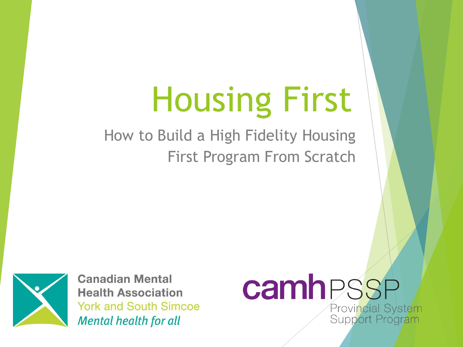# Housing First

How to Build a High Fidelity Housing First Program From Scratch



**Canadian Mental Health Association York and South Simcoe Mental health for all** 

#### camhPSSP Provincial System Support Program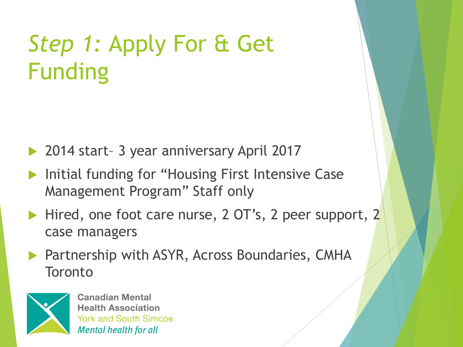# *Step 1:* Apply For & Get Funding

- ▶ 2014 start- 3 year anniversary April 2017
- Initial funding for "Housing First Intensive Case Management Program" Staff only
- Hired, one foot care nurse, 2 OT's, 2 peer support, 2 case managers
- Partnership with ASYR, Across Boundaries, CMHA **Toronto**

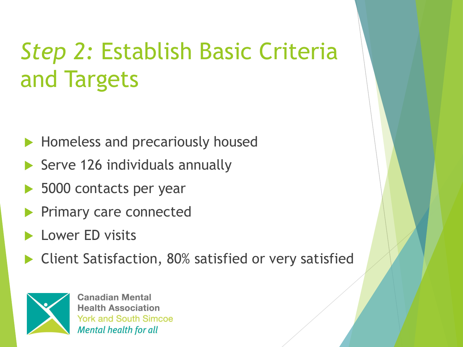# *Step 2:* Establish Basic Criteria and Targets

- Homeless and precariously housed
- $\triangleright$  Serve 126 individuals annually
- 5000 contacts per year
- Primary care connected
- Lower ED visits
- Client Satisfaction, 80% satisfied or very satisfied

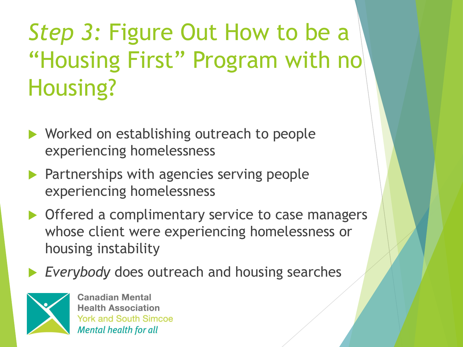# *Step 3:* Figure Out How to be a "Housing First" Program with no Housing?

- ▶ Worked on establishing outreach to people experiencing homelessness
- **Partnerships with agencies serving people** experiencing homelessness
- ▶ Offered a complimentary service to case managers whose client were experiencing homelessness or housing instability
- *Everybody* does outreach and housing searches

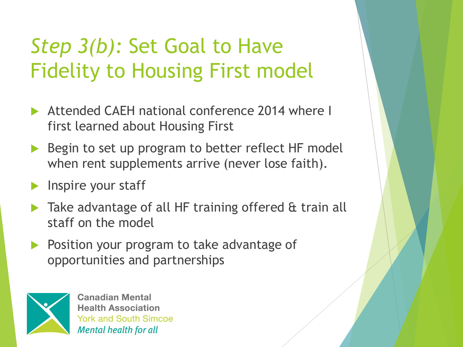#### *Step 3(b):* Set Goal to Have Fidelity to Housing First model

- Attended CAEH national conference 2014 where I first learned about Housing First
- Begin to set up program to better reflect HF model when rent supplements arrive (never lose faith).
- Inspire your staff
- **Take advantage of all HF training offered & train all** staff on the model
- Position your program to take advantage of opportunities and partnerships

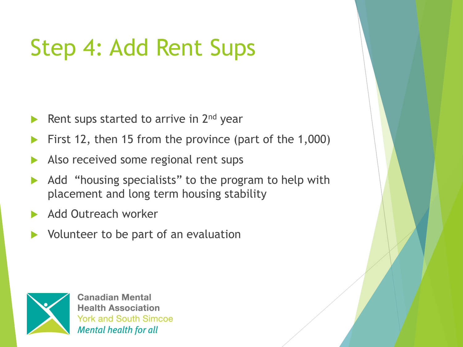# Step 4: Add Rent Sups

- Rent sups started to arrive in 2<sup>nd</sup> year
- First 12, then 15 from the province (part of the 1,000)
- Also received some regional rent sups
- Add "housing specialists" to the program to help with placement and long term housing stability
- Add Outreach worker
- Volunteer to be part of an evaluation

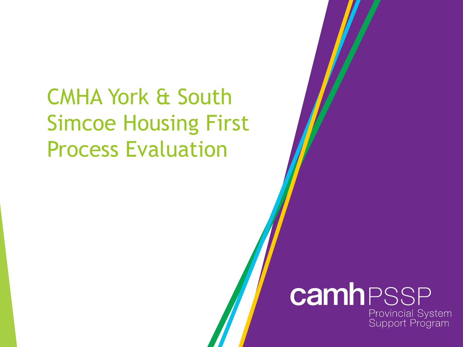#### CMHA York & South Simcoe Housing First Process Evaluation

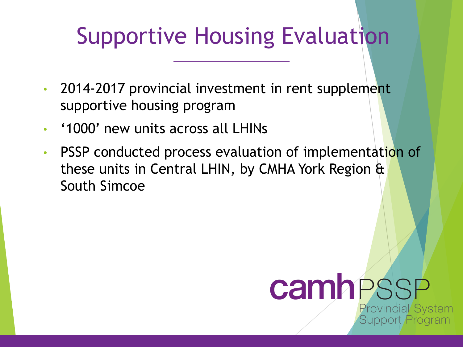#### Supportive Housing Evaluation

- 2014-2017 provincial investment in rent supplement supportive housing program
- '1000' new units across all LHINs
- PSSP conducted process evaluation of implementation of these units in Central LHIN, by CMHA York Region & South Simcoe

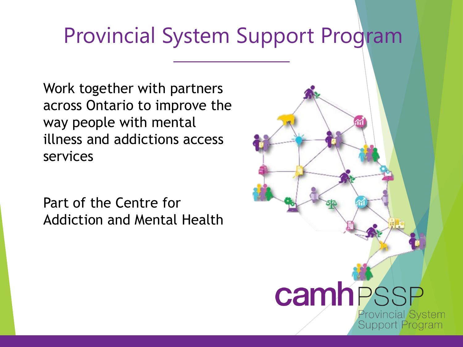#### Provincial System Support Program

Work together with partners across Ontario to improve the way people with mental illness and addictions access services

Part of the Centre for Addiction and Mental Health

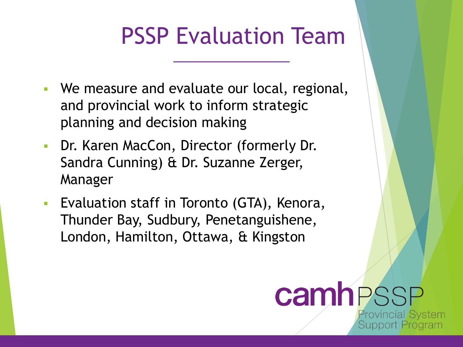#### PSSP Evaluation Team

- We measure and evaluate our local, regional, and provincial work to inform strategic planning and decision making
- Dr. Karen MacCon, Director (formerly Dr. Sandra Cunning) & Dr. Suzanne Zerger, Manager
- **EValuation staff in Toronto (GTA), Kenora,** Thunder Bay, Sudbury, Penetanguishene, London, Hamilton, Ottawa, & Kingston

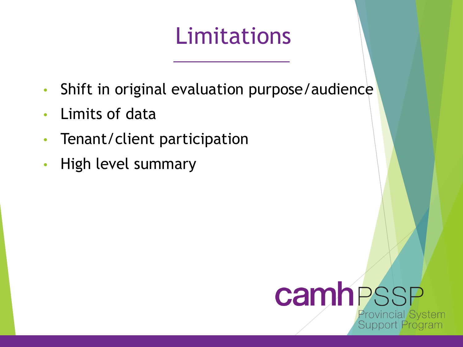#### Limitations

- Shift in original evaluation purpose/audience
- Limits of data
- Tenant/client participation
- High level summary

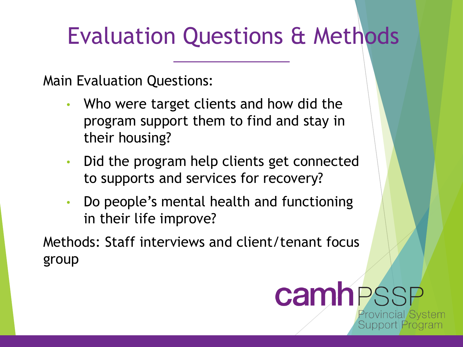#### Evaluation Questions & Methods

Main Evaluation Questions:

- Who were target clients and how did the program support them to find and stay in their housing?
- Did the program help clients get connected to supports and services for recovery?
- Do people's mental health and functioning in their life improve?

Methods: Staff interviews and client/tenant focus group

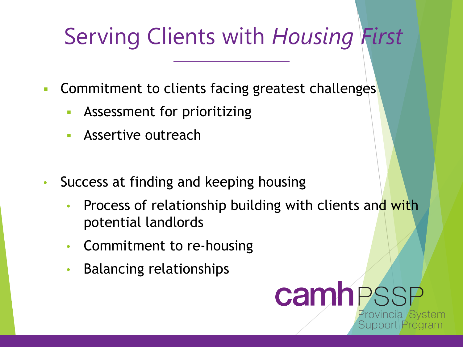# Serving Clients with *Housing First*

- **EXECOMMITMENT TO CLIENTS FACTILE SETABLE COMMITMENT COMMITMENT COMMITMENT COMMITMENT COMMITMENT COMMITMENT COMM** 
	- Assessment for prioritizing
	- **E** Assertive outreach
- Success at finding and keeping housing
	- Process of relationship building with clients and with potential landlords
	- Commitment to re-housing
	- Balancing relationships

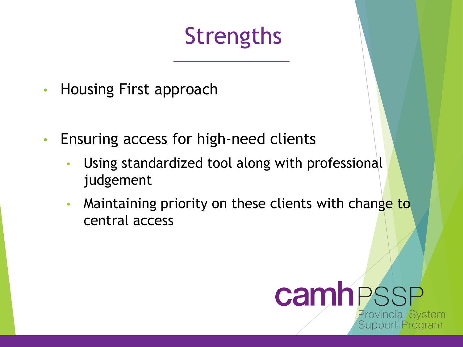#### Strengths

- Housing First approach
- Ensuring access for high-need clients
	- Using standardized tool along with professional judgement
	- Maintaining priority on these clients with change to central access

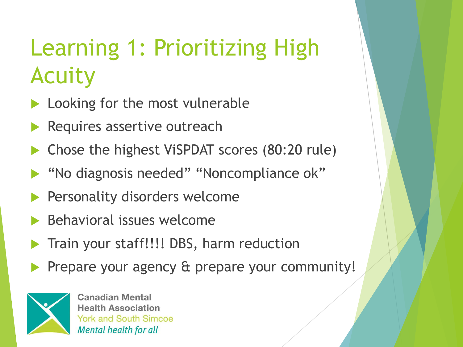# Learning 1: Prioritizing High Acuity

- **Looking for the most vulnerable**
- Requires assertive outreach
- ▶ Chose the highest ViSPDAT scores (80:20 rule)
- ▶ "No diagnosis needed" "Noncompliance ok"
- **Personality disorders welcome**
- $\blacktriangleright$  Behavioral issues welcome
- Train your staff!!!! DBS, harm reduction
- Prepare your agency & prepare your community!

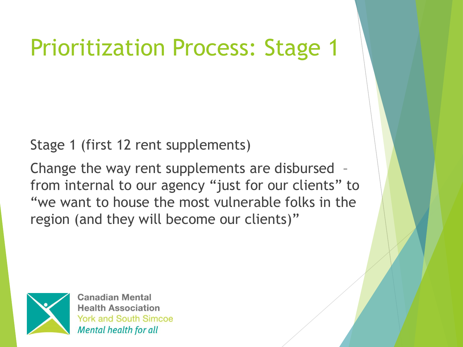#### Prioritization Process: Stage 1

Stage 1 (first 12 rent supplements)

Change the way rent supplements are disbursed – from internal to our agency "just for our clients" to "we want to house the most vulnerable folks in the region (and they will become our clients)"

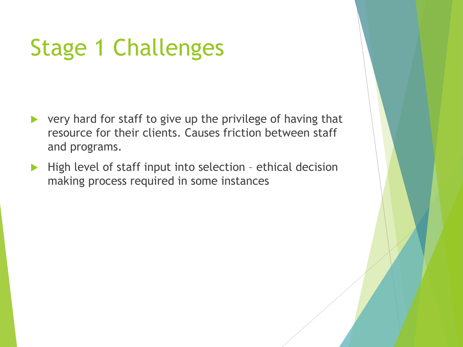#### Stage 1 Challenges

- $\triangleright$  very hard for staff to give up the privilege of having that resource for their clients. Causes friction between staff and programs.
- $\blacktriangleright$  High level of staff input into selection ethical decision making process required in some instances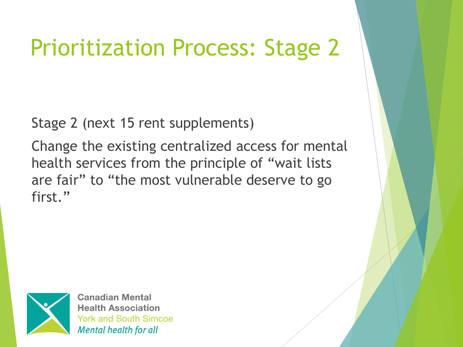#### Prioritization Process: Stage 2

Stage 2 (next 15 rent supplements)

Change the existing centralized access for mental health services from the principle of "wait lists are fair" to "the most vulnerable deserve to go first."

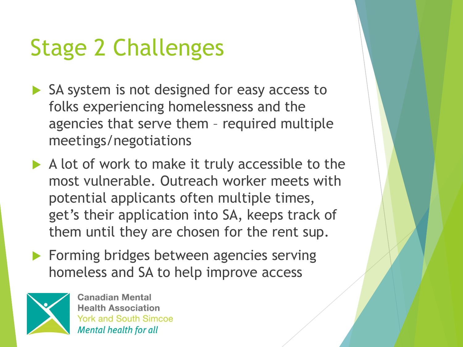# Stage 2 Challenges

- SA system is not designed for easy access to folks experiencing homelessness and the agencies that serve them – required multiple meetings/negotiations
- $\blacktriangleright$  A lot of work to make it truly accessible to the most vulnerable. Outreach worker meets with potential applicants often multiple times, get's their application into SA, keeps track of them until they are chosen for the rent sup.
- **Forming bridges between agencies serving** homeless and SA to help improve access

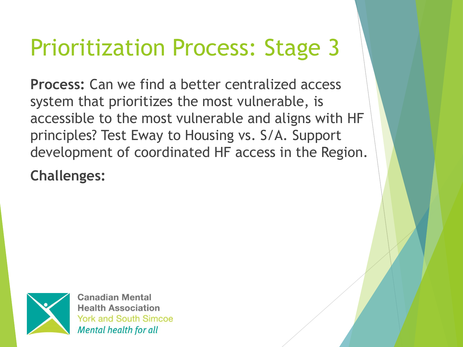#### Prioritization Process: Stage 3

**Process:** Can we find a better centralized access system that prioritizes the most vulnerable, is accessible to the most vulnerable and aligns with HF principles? Test Eway to Housing vs. S/A. Support development of coordinated HF access in the Region.

**Challenges:**

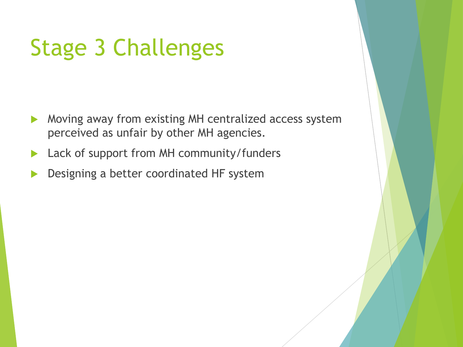#### Stage 3 Challenges

- Moving away from existing MH centralized access system perceived as unfair by other MH agencies.
- Lack of support from MH community/funders
- Designing a better coordinated HF system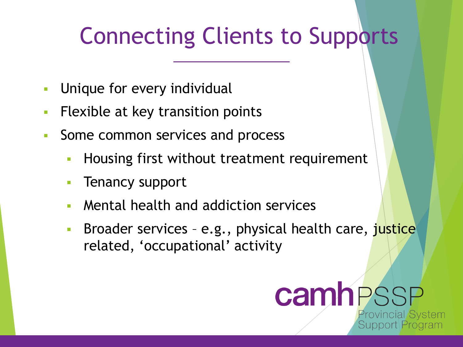#### Connecting Clients to Supports

- Unique for every individual
- **EXELEM** Flexible at key transition points
- Some common services and process
	- Housing first without treatment requirement
	- Tenancy support
	- Mental health and addiction services
	- Broader services e.g., physical health care, justice related, 'occupational' activity

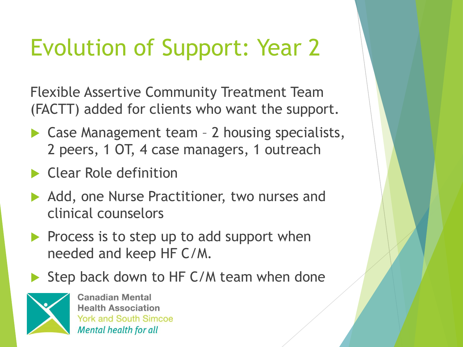# Evolution of Support: Year 2

Flexible Assertive Community Treatment Team (FACTT) added for clients who want the support.

- ▶ Case Management team 2 housing specialists, 2 peers, 1 OT, 4 case managers, 1 outreach
- ▶ Clear Role definition
- Add, one Nurse Practitioner, two nurses and clinical counselors
- $\triangleright$  Process is to step up to add support when needed and keep HF C/M.
- Step back down to HF C/M team when done

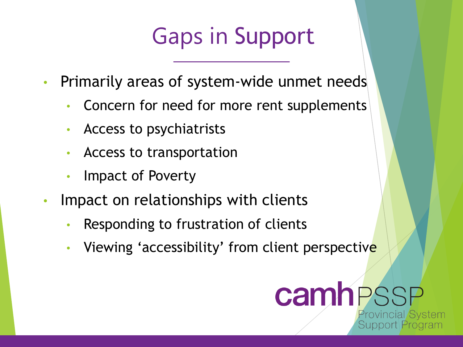#### Gaps in Support

- Primarily areas of system-wide unmet needs
	- Concern for need for more rent supplements
	- Access to psychiatrists
	- Access to transportation
	- Impact of Poverty
- Impact on relationships with clients
	- Responding to frustration of clients
	- Viewing 'accessibility' from client perspective

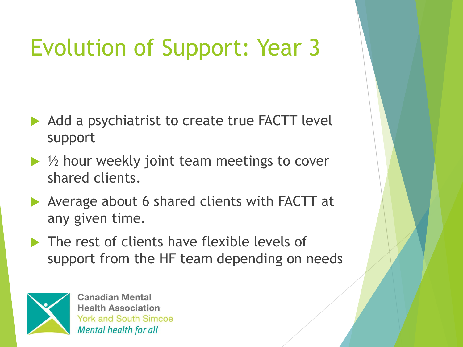# Evolution of Support: Year 3

- Add a psychiatrist to create true FACTT level support
- $\blacktriangleright$  1/2 hour weekly joint team meetings to cover shared clients.
- ▶ Average about 6 shared clients with FACTT at any given time.
- **The rest of clients have flexible levels of** support from the HF team depending on needs

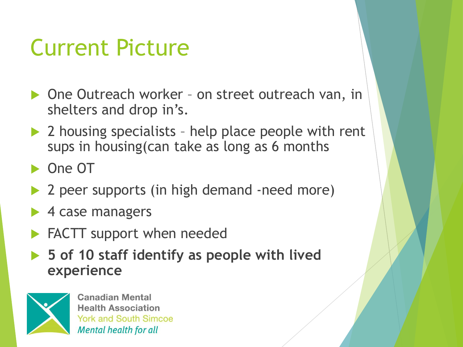#### Current Picture

- ▶ One Outreach worker on street outreach van, in shelters and drop in's.
- ▶ 2 housing specialists help place people with rent sups in housing(can take as long as 6 months
- ▶ One OT
- ▶ 2 peer supports (in high demand -need more)
- ▶ 4 case managers
- **FACTT** support when needed
- **5 of 10 staff identify as people with lived experience**

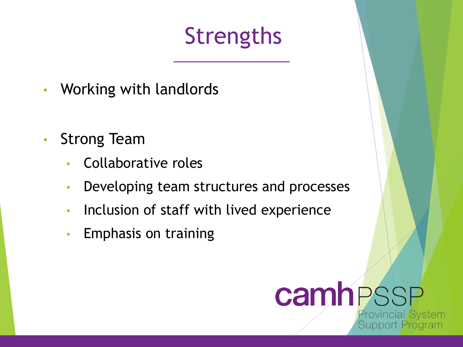# **Strengths**

- Working with landlords
- Strong Team
	- Collaborative roles
	- Developing team structures and processes
	- Inclusion of staff with lived experience
	- Emphasis on training

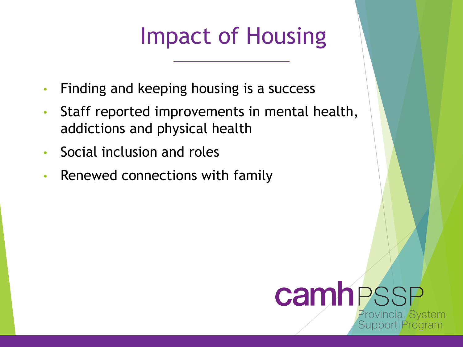#### Impact of Housing

- Finding and keeping housing is a success
- Staff reported improvements in mental health, addictions and physical health
- Social inclusion and roles
- Renewed connections with family

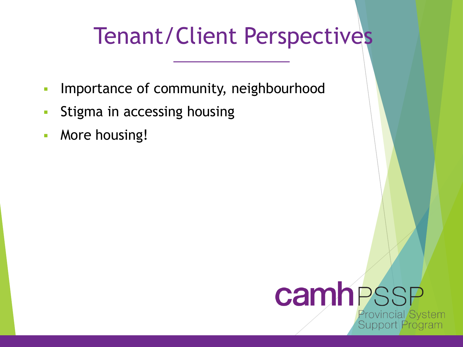#### Tenant/Client Perspectives

- **· Importance of community, neighbourhood**
- **EXTERG** In accessing housing
- **E** More housing!